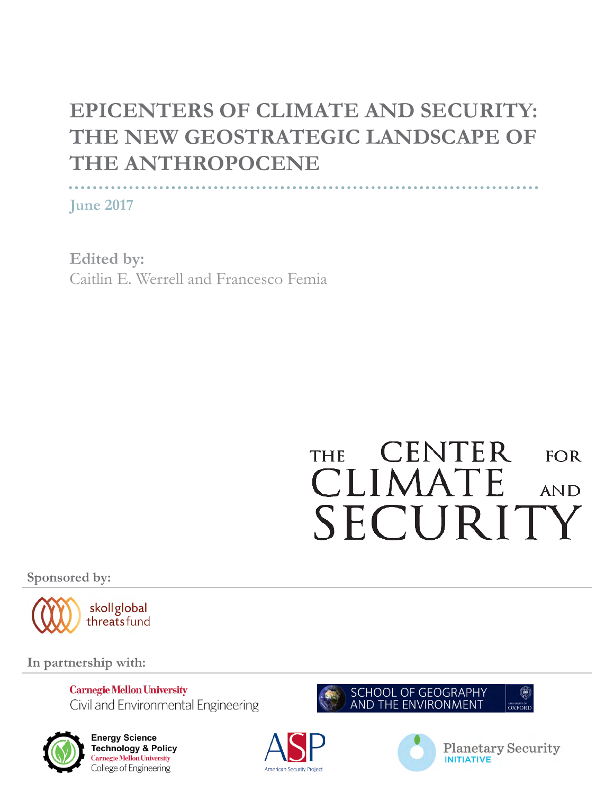# **EPICENTERS OF CLIMATE AND SECURITY: THE NEW GEOSTRATEGIC LANDSCAPE OF THE ANTHROPOCENE**

**June 2017**

**Edited by:** Caitlin E. Werrell and Francesco Femia

# **CENTER THE**  $FOR$ CLIMATE **AND** SECURITY

**Sponsored by:**



**In partnership with:**

**Carnegie Mellon University** Civil and Environmental Engineering



**Energy Science Technology & Policy** Carnegie Mellon University College of Engineering







**Planetary Security INITIATIVE**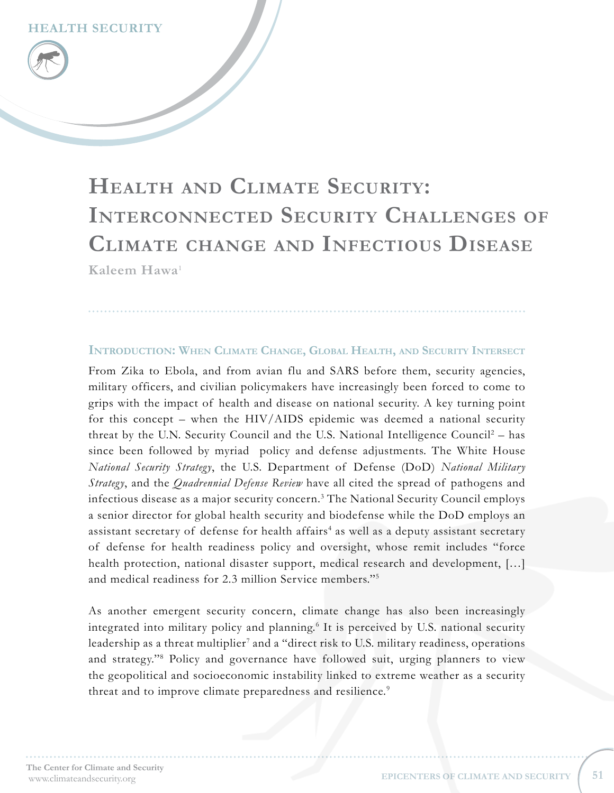# **Kaleem Hawa**[1](#page-7-0) **Health and Climate Security: Interconnected Security Challenges of Climate change and Infectious Disease**

#### **Introduction: When Climate Change, Global Health, and Security Intersect**

From Zika to Ebola, and from avian flu and SARS before them, security agencies, military officers, and civilian policymakers have increasingly been forced to come to grips with the impact of health and disease on national security. A key turning point for this concept – when the HIV/AIDS epidemic was deemed a national security threat by the U.N. Security Council and the U.S. National Intelligence Council<sup>[2](#page-7-1)</sup> - has since been followed by myriad policy and defense adjustments. The White House *National Security Strategy*, the U.S. Department of Defense (DoD) *National Military Strategy*, and the *Quadrennial Defense Review* have all cited the spread of pathogens and infectious disease as a major security concern.[3](#page-7-2) The National Security Council employs a senior director for global health security and biodefense while the DoD employs an assistant secretary of defense for health affairs<sup>[4](#page-7-3)</sup> as well as a deputy assistant secretary of defense for health readiness policy and oversight, whose remit includes "force health protection, national disaster support, medical research and development, [...] and medical readiness for 2.3 million Service members."[5](#page-7-4)

As another emergent security concern, climate change has also been increasingly integrated into military policy and planning.<sup>[6](#page-7-5)</sup> It is perceived by U.S. national security leadership as a threat multiplier<sup>[7](#page-7-6)</sup> and a "direct risk to U.S. military readiness, operations and strategy."[8](#page-7-7) Policy and governance have followed suit, urging planners to view the geopolitical and socioeconomic instability linked to extreme weather as a security threat and to improve climate preparedness and resilience.<sup>[9](#page-7-8)</sup>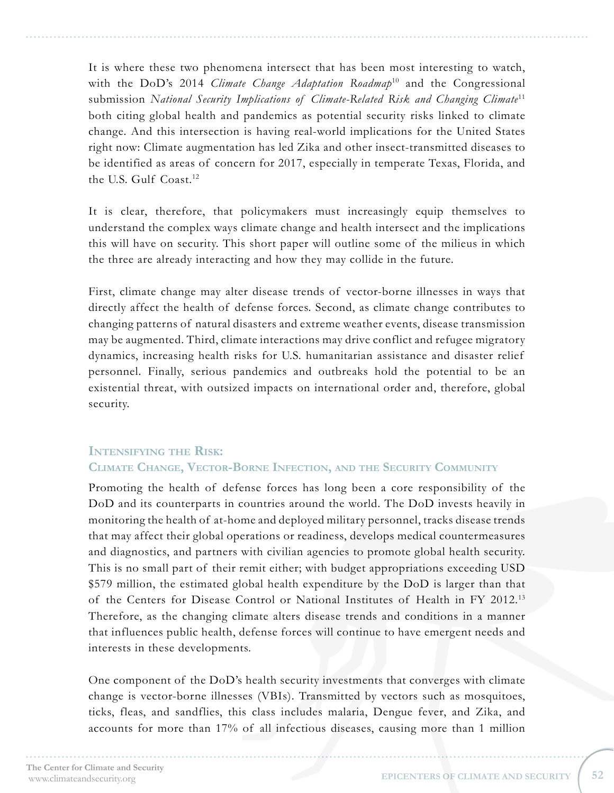It is where these two phenomena intersect that has been most interesting to watch, with the DoD's 2014 *Climate Change Adaptation Roadmap*<sup>[10](#page-7-9)</sup> and the Congressional submission *National Security Implications of Climate-Related Risk and Changing Climate*[11](#page-7-10) both citing global health and pandemics as potential security risks linked to climate change. And this intersection is having real-world implications for the United States right now: Climate augmentation has led Zika and other insect-transmitted diseases to be identified as areas of concern for 2017, especially in temperate Texas, Florida, and the U.S. Gulf Coast.<sup>[12](#page-7-11)</sup>

It is clear, therefore, that policymakers must increasingly equip themselves to understand the complex ways climate change and health intersect and the implications this will have on security. This short paper will outline some of the milieus in which the three are already interacting and how they may collide in the future.

First, climate change may alter disease trends of vector-borne illnesses in ways that directly affect the health of defense forces. Second, as climate change contributes to changing patterns of natural disasters and extreme weather events, disease transmission may be augmented. Third, climate interactions may drive conflict and refugee migratory dynamics, increasing health risks for U.S. humanitarian assistance and disaster relief personnel. Finally, serious pandemics and outbreaks hold the potential to be an existential threat, with outsized impacts on international order and, therefore, global security.

### **Intensifying the Risk:**

#### **Climate Change, Vector-Borne Infection, and the Security Community**

Promoting the health of defense forces has long been a core responsibility of the DoD and its counterparts in countries around the world. The DoD invests heavily in monitoring the health of at-home and deployed military personnel, tracks disease trends that may affect their global operations or readiness, develops medical countermeasures and diagnostics, and partners with civilian agencies to promote global health security. This is no small part of their remit either; with budget appropriations exceeding USD \$579 million, the estimated global health expenditure by the DoD is larger than that of the Centers for Disease Control or National Institutes of Health in FY 2012.[13](#page-7-12) Therefore, as the changing climate alters disease trends and conditions in a manner that influences public health, defense forces will continue to have emergent needs and interests in these developments.

One component of the DoD's health security investments that converges with climate change is vector-borne illnesses (VBIs). Transmitted by vectors such as mosquitoes, ticks, fleas, and sandflies, this class includes malaria, Dengue fever, and Zika, and accounts for more than 17% of all infectious diseases, causing more than 1 million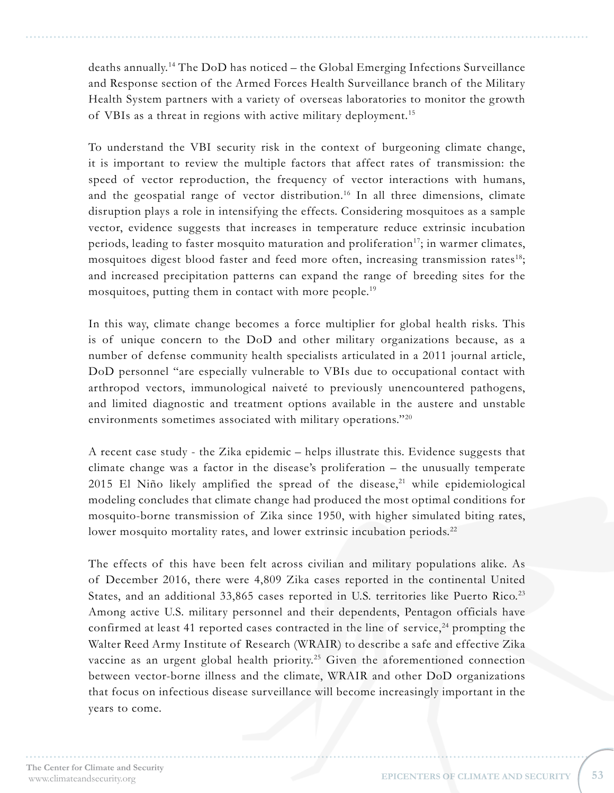deaths annually.[14](#page-7-13) The DoD has noticed – the Global Emerging Infections Surveillance and Response section of the Armed Forces Health Surveillance branch of the Military Health System partners with a variety of overseas laboratories to monitor the growth of VBIs as a threat in regions with active military deployment.[15](#page-7-14)

To understand the VBI security risk in the context of burgeoning climate change, it is important to review the multiple factors that affect rates of transmission: the speed of vector reproduction, the frequency of vector interactions with humans, and the geospatial range of vector distribution.[16](#page-7-15) In all three dimensions, climate disruption plays a role in intensifying the effects. Considering mosquitoes as a sample vector, evidence suggests that increases in temperature reduce extrinsic incubation periods, leading to faster mosquito maturation and proliferation<sup>[17](#page-7-16)</sup>; in warmer climates, mosquitoes digest blood faster and feed more often, increasing transmission rates<sup>[18](#page-7-17)</sup>; and increased precipitation patterns can expand the range of breeding sites for the mosquitoes, putting them in contact with more people.<sup>[19](#page-7-18)</sup>

In this way, climate change becomes a force multiplier for global health risks. This is of unique concern to the DoD and other military organizations because, as a number of defense community health specialists articulated in a 2011 journal article, DoD personnel "are especially vulnerable to VBIs due to occupational contact with arthropod vectors, immunological naiveté to previously unencountered pathogens, and limited diagnostic and treatment options available in the austere and unstable environments sometimes associated with military operations."<sup>[20](#page-7-19)</sup>

A recent case study - the Zika epidemic – helps illustrate this. Evidence suggests that climate change was a factor in the disease's proliferation – the unusually temperate  $2015$  El Niño likely amplified the spread of the disease,<sup>21</sup> while epidemiological modeling concludes that climate change had produced the most optimal conditions for mosquito-borne transmission of Zika since 1950, with higher simulated biting rates, lower mosquito mortality rates, and lower extrinsic incubation periods.<sup>[22](#page-7-21)</sup>

The effects of this have been felt across civilian and military populations alike. As of December 2016, there were 4,809 Zika cases reported in the continental United States, and an additional 33,865 cases reported in U.S. territories like Puerto Rico.<sup>[23](#page-7-22)</sup> Among active U.S. military personnel and their dependents, Pentagon officials have confirmed at least 41 reported cases contracted in the line of service, $24$  prompting the Walter Reed Army Institute of Research (WRAIR) to describe a safe and effective Zika vaccine as an urgent global health priority.<sup>[25](#page-8-0)</sup> Given the aforementioned connection between vector-borne illness and the climate, WRAIR and other DoD organizations that focus on infectious disease surveillance will become increasingly important in the years to come.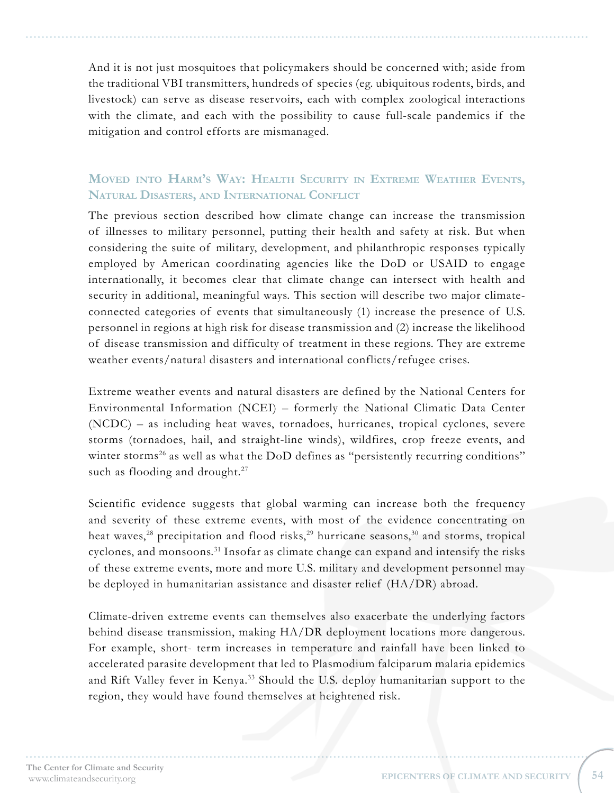And it is not just mosquitoes that policymakers should be concerned with; aside from the traditional VBI transmitters, hundreds of species (eg. ubiquitous rodents, birds, and livestock) can serve as disease reservoirs, each with complex zoological interactions with the climate, and each with the possibility to cause full-scale pandemics if the mitigation and control efforts are mismanaged.

## **Moved into Harm's Way: Health Security in Extreme Weather Events, Natural Disasters, and International Conflict**

The previous section described how climate change can increase the transmission of illnesses to military personnel, putting their health and safety at risk. But when considering the suite of military, development, and philanthropic responses typically employed by American coordinating agencies like the DoD or USAID to engage internationally, it becomes clear that climate change can intersect with health and security in additional, meaningful ways. This section will describe two major climateconnected categories of events that simultaneously (1) increase the presence of U.S. personnel in regions at high risk for disease transmission and (2) increase the likelihood of disease transmission and difficulty of treatment in these regions. They are extreme weather events/natural disasters and international conflicts/refugee crises.

Extreme weather events and natural disasters are defined by the National Centers for Environmental Information (NCEI) – formerly the National Climatic Data Center (NCDC) – as including heat waves, tornadoes, hurricanes, tropical cyclones, severe storms (tornadoes, hail, and straight-line winds), wildfires, crop freeze events, and winter storms<sup>26</sup> as well as what the DoD defines as "persistently recurring conditions" such as flooding and drought.<sup>[27](#page-8-2)</sup>

Scientific evidence suggests that global warming can increase both the frequency and severity of these extreme events, with most of the evidence concentrating on heat waves,<sup>[28](#page-8-3)</sup> precipitation and flood risks,<sup>29</sup> hurricane seasons,<sup>[30](#page-8-5)</sup> and storms, tropical cyclones, and monsoons.<sup>31</sup> Insofar as climate change can expand and intensify the risks of these extreme events, more and more U.S. military and development personnel may be deployed in humanitarian assistance and disaster relief (HA/DR) abroad.

Climate-driven extreme events can themselves also exacerbate the underlying factors behind disease transmission, making HA/DR deployment locations more dangerous. For example, short- term increases in temperature and rainfall have been linked to accelerated parasite development that led to Plasmodium falciparum malaria epidemics and Rift Valley fever in Kenya.<sup>[33](#page-8-7)</sup> Should the U.S. deploy humanitarian support to the region, they would have found themselves at heightened risk.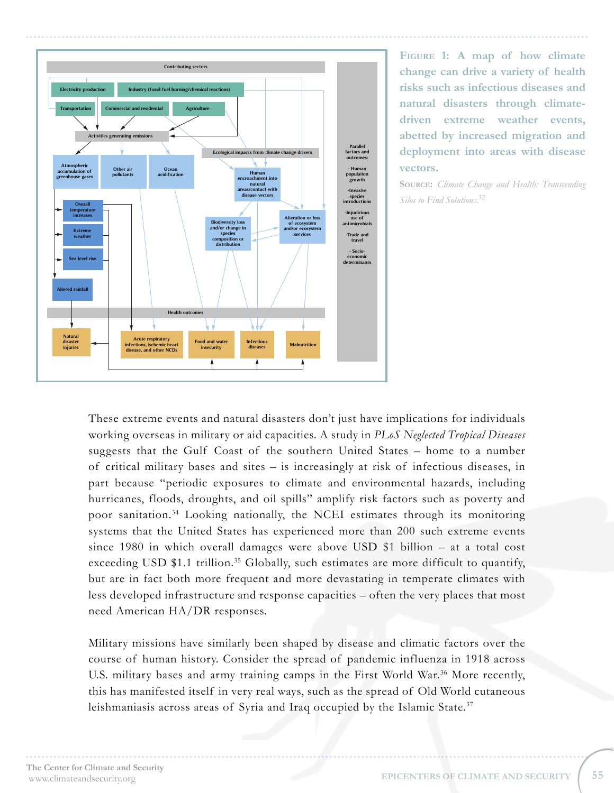

**Figure 1: A map of how climate change can drive a variety of health risks such as infectious diseases and natural disasters through climatedriven extreme weather events, abetted by increased migration and deployment into areas with disease vectors.**

**Source:** *Climate Change and Health: Transcending Silos to Find Solutions*. [32](#page-8-12)

These extreme events and natural disasters don't just have implications for individuals working overseas in military or aid capacities. A study in *PLoS Neglected Tropical Diseases* suggests that the Gulf Coast of the southern United States – home to a number of critical military bases and sites – is increasingly at risk of infectious diseases, in part because "periodic exposures to climate and environmental hazards, including hurricanes, floods, droughts, and oil spills" amplify risk factors such as poverty and poor sanitation.[34](#page-8-8) Looking nationally, the NCEI estimates through its monitoring systems that the United States has experienced more than 200 such extreme events since 1980 in which overall damages were above USD \$1 billion – at a total cost exceeding USD  $$1.1$  trillion.<sup>35</sup> Globally, such estimates are more difficult to quantify, but are in fact both more frequent and more devastating in temperate climates with less developed infrastructure and response capacities – often the very places that most need American HA/DR responses.

Military missions have similarly been shaped by disease and climatic factors over the course of human history. Consider the spread of pandemic influenza in 1918 across U.S. military bases and army training camps in the First World War.<sup>[36](#page-8-10)</sup> More recently, this has manifested itself in very real ways, such as the spread of Old World cutaneous leishmaniasis across areas of Syria and Iraq occupied by the Islamic State.<sup>[37](#page-8-11)</sup>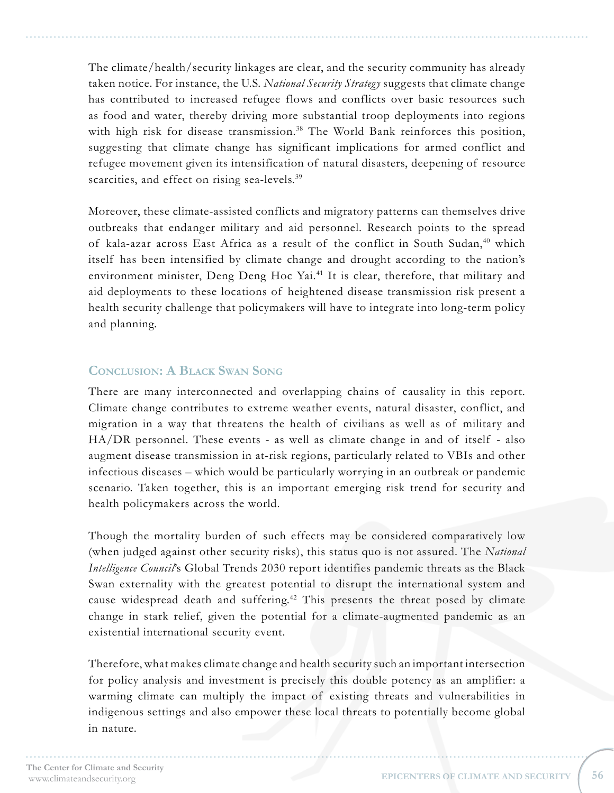The climate/health/security linkages are clear, and the security community has already taken notice. For instance, the U.S. *National Security Strategy* suggests that climate change has contributed to increased refugee flows and conflicts over basic resources such as food and water, thereby driving more substantial troop deployments into regions with high risk for disease transmission.<sup>[38](#page-8-13)</sup> The World Bank reinforces this position, suggesting that climate change has significant implications for armed conflict and refugee movement given its intensification of natural disasters, deepening of resource scarcities, and effect on rising sea-levels.<sup>[39](#page-8-14)</sup>

Moreover, these climate-assisted conflicts and migratory patterns can themselves drive outbreaks that endanger military and aid personnel. Research points to the spread of kala-azar across East Africa as a result of the conflict in South Sudan,<sup>[40](#page-8-15)</sup> which itself has been intensified by climate change and drought according to the nation's environment minister, Deng Deng Hoc Yai.<sup>41</sup> It is clear, therefore, that military and aid deployments to these locations of heightened disease transmission risk present a health security challenge that policymakers will have to integrate into long-term policy and planning.

### **Conclusion: A Black Swan Song**

There are many interconnected and overlapping chains of causality in this report. Climate change contributes to extreme weather events, natural disaster, conflict, and migration in a way that threatens the health of civilians as well as of military and HA/DR personnel. These events - as well as climate change in and of itself - also augment disease transmission in at-risk regions, particularly related to VBIs and other infectious diseases – which would be particularly worrying in an outbreak or pandemic scenario. Taken together, this is an important emerging risk trend for security and health policymakers across the world.

Though the mortality burden of such effects may be considered comparatively low (when judged against other security risks), this status quo is not assured. The *National Intelligence Council*'s Global Trends 2030 report identifies pandemic threats as the Black Swan externality with the greatest potential to disrupt the international system and cause widespread death and suffering.<sup>[42](#page-8-17)</sup> This presents the threat posed by climate change in stark relief, given the potential for a climate-augmented pandemic as an existential international security event.

Therefore, what makes climate change and health security such an important intersection for policy analysis and investment is precisely this double potency as an amplifier: a warming climate can multiply the impact of existing threats and vulnerabilities in indigenous settings and also empower these local threats to potentially become global in nature.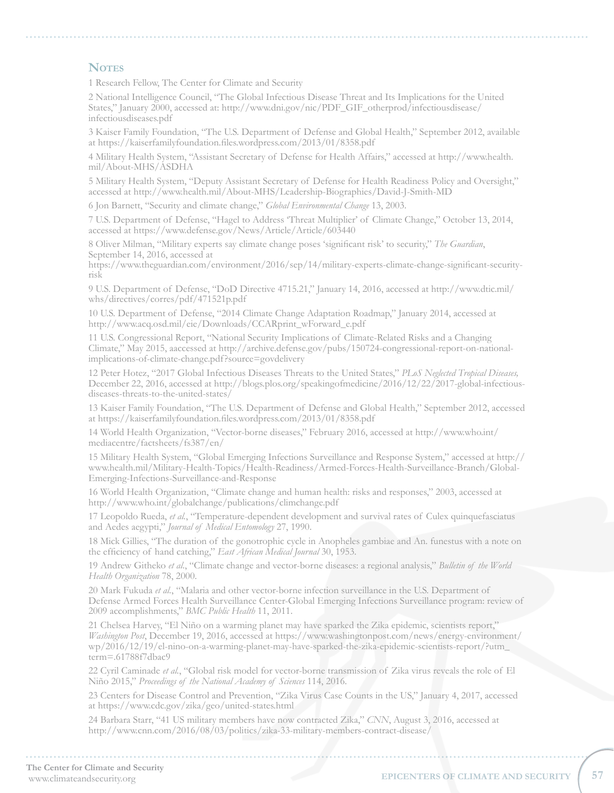#### **NOTES**

<span id="page-7-0"></span>1 Research Fellow, The Center for Climate and Security

<span id="page-7-1"></span>2 National Intelligence Council, "The Global Infectious Disease Threat and Its Implications for the United States," January 2000, accessed at: http://www.dni.gov/nic/PDF\_GIF\_otherprod/infectiousdisease/ infectiousdiseases.pdf

<span id="page-7-2"></span>3 Kaiser Family Foundation, "The U.S. Department of Defense and Global Health," September 2012, available at https://kaiserfamilyfoundation.files.wordpress.com/2013/01/8358.pdf

<span id="page-7-3"></span>4 Military Health System, "Assistant Secretary of Defense for Health Affairs," accessed at http://www.health. mil/About-MHS/ASDHA

<span id="page-7-4"></span>5 Military Health System, "Deputy Assistant Secretary of Defense for Health Readiness Policy and Oversight," accessed at http://www.health.mil/About-MHS/Leadership-Biographies/David-J-Smith-MD

<span id="page-7-5"></span>6 Jon Barnett, "Security and climate change," *Global Environmental Change* 13, 2003.

<span id="page-7-6"></span>7 U.S. Department of Defense, "Hagel to Address 'Threat Multiplier' of Climate Change," October 13, 2014, accessed at https://www.defense.gov/News/Article/Article/603440

<span id="page-7-7"></span>8 Oliver Milman, "Military experts say climate change poses 'significant risk' to security," *The Guardian*, September 14, 2016, accessed at

https://www.theguardian.com/environment/2016/sep/14/military-experts-climate-change-significant-securityrisk

<span id="page-7-8"></span>9 U.S. Department of Defense, "DoD Directive 4715.21," January 14, 2016, accessed at http://www.dtic.mil/ whs/directives/corres/pdf/471521p.pdf

<span id="page-7-9"></span>10 U.S. Department of Defense, "2014 Climate Change Adaptation Roadmap," January 2014, accessed at http://www.acq.osd.mil/eie/Downloads/CCARprint\_wForward\_e.pdf

<span id="page-7-10"></span>11 U.S. Congressional Report, "National Security Implications of Climate-Related Risks and a Changing Climate," May 2015, aaccessed at http://archive.defense.gov/pubs/150724-congressional-report-on-nationalimplications-of-climate-change.pdf?source=govdelivery

<span id="page-7-11"></span>12 Peter Hotez, "2017 Global Infectious Diseases Threats to the United States," *PLoS Neglected Tropical Diseases,* December 22, 2016, accessed at http://blogs.plos.org/speakingofmedicine/2016/12/22/2017-global-infectiousdiseases-threats-to-the-united-states/

<span id="page-7-12"></span>13 Kaiser Family Foundation, "The U.S. Department of Defense and Global Health," September 2012, accessed at https://kaiserfamilyfoundation.files.wordpress.com/2013/01/8358.pdf

<span id="page-7-13"></span>14 World Health Organization, "Vector-borne diseases," February 2016, accessed at http://www.who.int/ mediacentre/factsheets/fs387/en/

<span id="page-7-14"></span>15 Military Health System, "Global Emerging Infections Surveillance and Response System," accessed at http:// www.health.mil/Military-Health-Topics/Health-Readiness/Armed-Forces-Health-Surveillance-Branch/Global-Emerging-Infections-Surveillance-and-Response

<span id="page-7-15"></span>16 World Health Organization, "Climate change and human health: risks and responses," 2003, accessed at http://www.who.int/globalchange/publications/climchange.pdf

<span id="page-7-16"></span>17 Leopoldo Rueda, *et al.*, "Temperature-dependent development and survival rates of Culex quinquefasciatus and Aedes aegypti," *Journal of Medical Entomology* 27, 1990.

<span id="page-7-17"></span>18 Mick Gillies, "The duration of the gonotrophic cycle in Anopheles gambiae and An. funestus with a note on the efficiency of hand catching," *East African Medical Journal* 30, 1953.

<span id="page-7-18"></span>19 Andrew Githeko *et al*., "Climate change and vector-borne diseases: a regional analysis," *Bulletin of the World Health Organization* 78, 2000.

<span id="page-7-19"></span>20 Mark Fukuda *et al.*, "Malaria and other vector-borne infection surveillance in the U.S. Department of Defense Armed Forces Health Surveillance Center-Global Emerging Infections Surveillance program: review of 2009 accomplishments," *BMC Public Health* 11, 2011.

<span id="page-7-20"></span>21 Chelsea Harvey, "El Niño on a warming planet may have sparked the Zika epidemic, scientists report," *Washington Post*, December 19, 2016, accessed at https://www.washingtonpost.com/news/energy-environment/ wp/2016/12/19/el-nino-on-a-warming-planet-may-have-sparked-the-zika-epidemic-scientists-report/?utm\_ term=.61788f7dbac9

<span id="page-7-21"></span>22 Cyril Caminade *et al.*, "Global risk model for vector-borne transmission of Zika virus reveals the role of El Niño 2015," *Proceedings of the National Academy of Sciences* 114, 2016.

<span id="page-7-22"></span>23 Centers for Disease Control and Prevention, "Zika Virus Case Counts in the US," January 4, 2017, accessed at https://www.cdc.gov/zika/geo/united-states.html

<span id="page-7-23"></span>24 Barbara Starr, "41 US military members have now contracted Zika," *CNN*, August 3, 2016, accessed at http://www.cnn.com/2016/08/03/politics/zika-33-military-members-contract-disease/